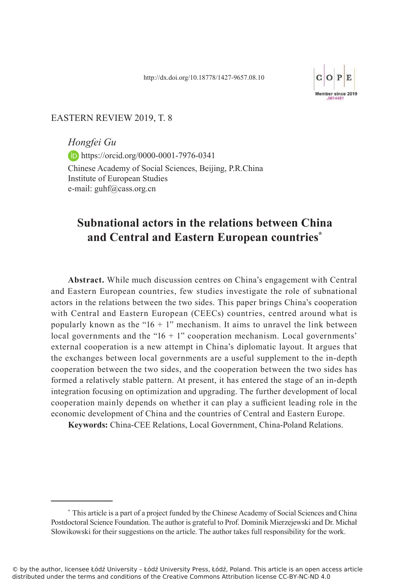

#### EASTERN REVIEW 2019, T. 8

*Hongfei Gu* **https://orcid.org/0000-0001-7976-0341** Chinese Academy of Social Sciences, Beijing, P.R.China Institute of European Studies e-mail: guhf@cass.org.cn

# **Subnational actors in the relations between China and Central and Eastern European countries\***

**Abstract.** While much discussion centres on China's engagement with Central and Eastern European countries, few studies investigate the role of subnational actors in the relations between the two sides. This paper brings China's cooperation with Central and Eastern European (CEECs) countries, centred around what is popularly known as the " $16 + 1$ " mechanism. It aims to unravel the link between local governments and the " $16 + 1$ " cooperation mechanism. Local governments' external cooperation is a new attempt in China's diplomatic layout. It argues that the exchanges between local governments are a useful supplement to the in-depth cooperation between the two sides, and the cooperation between the two sides has formed a relatively stable pattern. At present, it has entered the stage of an in-depth integration focusing on optimization and upgrading. The further development of local cooperation mainly depends on whether it can play a sufficient leading role in the economic development of China and the countries of Central and Eastern Europe.

**Keywords:** China-CEE Relations, Local Government, China-Poland Relations.

<sup>\*</sup> This article is a part of a project funded by the Chinese Academy of Social Sciences and China Postdoctoral Science Foundation. The author is grateful to Prof. Dominik Mierzejewski and Dr. Michał Słowikowski for their suggestions on the article. The author takes full responsibility for the work.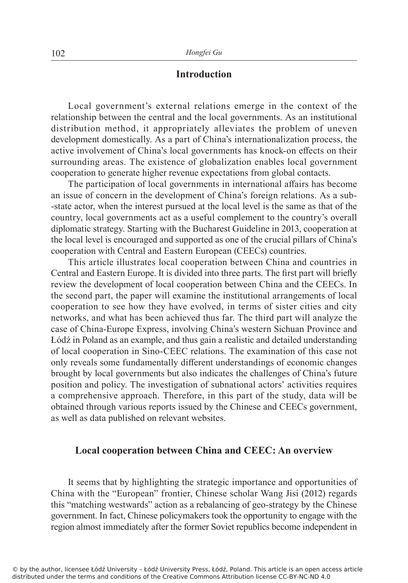# **Introduction**

Local government's external relations emerge in the context of the relationship between the central and the local governments. As an institutional distribution method, it appropriately alleviates the problem of uneven development domestically. As a part of China's internationalization process, the active involvement of China's local governments has knock-on effects on their surrounding areas. The existence of globalization enables local government cooperation to generate higher revenue expectations from global contacts.

The participation of local governments in international affairs has become an issue of concern in the development of China's foreign relations. As a sub- -state actor, when the interest pursued at the local level is the same as that of the country, local governments act as a useful complement to the country's overall diplomatic strategy. Starting with the Bucharest Guideline in 2013, cooperation at the local level is encouraged and supported as one of the crucial pillars of China's cooperation with Central and Eastern European (CEECs) countries.

This article illustrates local cooperation between China and countries in Central and Eastern Europe. It is divided into three parts. The first part will briefly review the development of local cooperation between China and the CEECs. In the second part, the paper will examine the institutional arrangements of local cooperation to see how they have evolved, in terms of sister cities and city networks, and what has been achieved thus far. The third part will analyze the case of China-Europe Express, involving China's western Sichuan Province and Łódź in Poland as an example, and thus gain a realistic and detailed understanding of local cooperation in Sino-CEEC relations. The examination of this case not only reveals some fundamentally different understandings of economic changes brought by local governments but also indicates the challenges of China's future position and policy. The investigation of subnational actors' activities requires a comprehensive approach. Therefore, in this part of the study, data will be obtained through various reports issued by the Chinese and CEECs government, as well as data published on relevant websites.

#### **Local cooperation between China and CEEC: An overview**

It seems that by highlighting the strategic importance and opportunities of China with the "European" frontier, Chinese scholar Wang Jisi (2012) regards this "matching westwards" action as a rebalancing of geo-strategy by the Chinese government. In fact, Chinese policymakers took the opportunity to engage with the region almost immediately after the former Soviet republics become independent in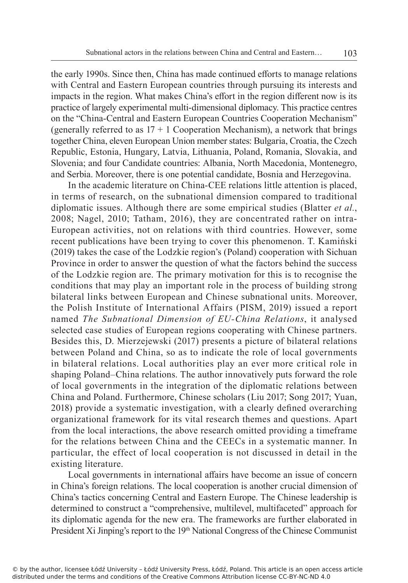the early 1990s. Since then, China has made continued efforts to manage relations with Central and Eastern European countries through pursuing its interests and impacts in the region. What makes China's effort in the region different now is its practice of largely experimental multi-dimensional diplomacy. This practice centres on the "China-Central and Eastern European Countries Cooperation Mechanism" (generally referred to as  $17 + 1$  Cooperation Mechanism), a network that brings together China, eleven European Union member states: Bulgaria, Croatia, the Czech Republic, Estonia, Hungary, Latvia, Lithuania, Poland, Romania, Slovakia, and Slovenia; and four Candidate countries: Albania, North Macedonia, Montenegro, and Serbia. Moreover, there is one potential candidate, Bosnia and Herzegovina.

In the academic literature on China-CEE relations little attention is placed, in terms of research, on the subnational dimension compared to traditional diplomatic issues. Although there are some empirical studies (Blatter *et al.*, 2008; Nagel, 2010; Tatham, 2016), they are concentrated rather on intra-European activities, not on relations with third countries. However, some recent publications have been trying to cover this phenomenon. T. Kamiński (2019) takes the case of the Lodzkie region's (Poland) cooperation with Sichuan Province in order to answer the question of what the factors behind the success of the Lodzkie region are. The primary motivation for this is to recognise the conditions that may play an important role in the process of building strong bilateral links between European and Chinese subnational units. Moreover, the Polish Institute of International Affairs (PISM, 2019) issued a report named *The Subnational Dimension of EU-China Relations*, it analysed selected case studies of European regions cooperating with Chinese partners. Besides this, D. Mierzejewski (2017) presents a picture of bilateral relations between Poland and China, so as to indicate the role of local governments in bilateral relations. Local authorities play an ever more critical role in shaping Poland–China relations. The author innovatively puts forward the role of local governments in the integration of the diplomatic relations between China and Poland. Furthermore, Chinese scholars (Liu 2017; Song 2017; Yuan, 2018) provide a systematic investigation, with a clearly defined overarching organizational framework for its vital research themes and questions. Apart from the local interactions, the above research omitted providing a timeframe for the relations between China and the CEECs in a systematic manner. In particular, the effect of local cooperation is not discussed in detail in the existing literature.

Local governments in international affairs have become an issue of concern in China's foreign relations. The local cooperation is another crucial dimension of China's tactics concerning Central and Eastern Europe. The Chinese leadership is determined to construct a "comprehensive, multilevel, multifaceted" approach for its diplomatic agenda for the new era. The frameworks are further elaborated in President Xi Jinping's report to the 19<sup>th</sup> National Congress of the Chinese Communist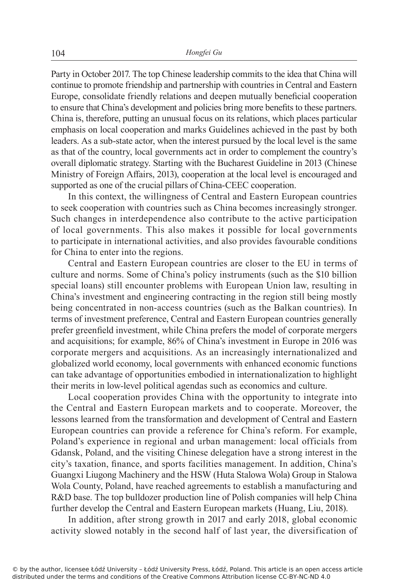Party in October 2017. The top Chinese leadership commits to the idea that China will continue to promote friendship and partnership with countries in Central and Eastern Europe, consolidate friendly relations and deepen mutually beneficial cooperation to ensure that China's development and policies bring more benefits to these partners. China is, therefore, putting an unusual focus on its relations, which places particular emphasis on local cooperation and marks Guidelines achieved in the past by both leaders. As a sub-state actor, when the interest pursued by the local level is the same as that of the country, local governments act in order to complement the country's overall diplomatic strategy. Starting with the Bucharest Guideline in 2013 (Chinese Ministry of Foreign Affairs, 2013), cooperation at the local level is encouraged and supported as one of the crucial pillars of China-CEEC cooperation.

In this context, the willingness of Central and Eastern European countries to seek cooperation with countries such as China becomes increasingly stronger. Such changes in interdependence also contribute to the active participation of local governments. This also makes it possible for local governments to participate in international activities, and also provides favourable conditions for China to enter into the regions.

Central and Eastern European countries are closer to the EU in terms of culture and norms. Some of China's policy instruments (such as the \$10 billion special loans) still encounter problems with European Union law, resulting in China's investment and engineering contracting in the region still being mostly being concentrated in non-access countries (such as the Balkan countries). In terms of investment preference, Central and Eastern European countries generally prefer greenfield investment, while China prefers the model of corporate mergers and acquisitions; for example, 86% of China's investment in Europe in 2016 was corporate mergers and acquisitions. As an increasingly internationalized and globalized world economy, local governments with enhanced economic functions can take advantage of opportunities embodied in internationalization to highlight their merits in low-level political agendas such as economics and culture.

Local cooperation provides China with the opportunity to integrate into the Central and Eastern European markets and to cooperate. Moreover, the lessons learned from the transformation and development of Central and Eastern European countries can provide a reference for China's reform. For example, Poland's experience in regional and urban management: local officials from Gdansk, Poland, and the visiting Chinese delegation have a strong interest in the city's taxation, finance, and sports facilities management. In addition, China's Guangxi Liugong Machinery and the HSW (Huta Stalowa Wola) Group in Stalowa Wola County, Poland, have reached agreements to establish a manufacturing and R&D base. The top bulldozer production line of Polish companies will help China further develop the Central and Eastern European markets (Huang, Liu, 2018).

In addition, after strong growth in 2017 and early 2018, global economic activity slowed notably in the second half of last year, the diversification of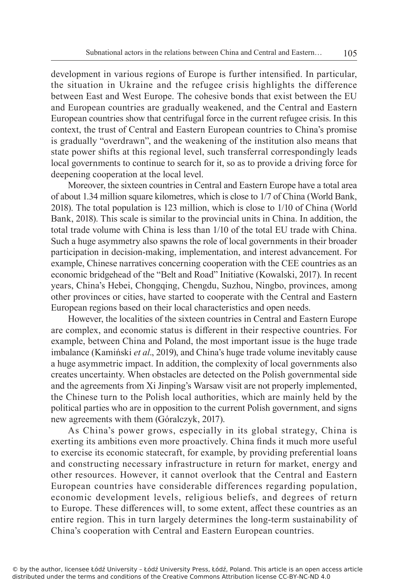development in various regions of Europe is further intensified. In particular, the situation in Ukraine and the refugee crisis highlights the difference between East and West Europe. The cohesive bonds that exist between the EU and European countries are gradually weakened, and the Central and Eastern European countries show that centrifugal force in the current refugee crisis. In this context, the trust of Central and Eastern European countries to China's promise is gradually "overdrawn", and the weakening of the institution also means that state power shifts at this regional level, such transferral correspondingly leads local governments to continue to search for it, so as to provide a driving force for deepening cooperation at the local level.

Moreover, the sixteen countries in Central and Eastern Europe have a total area of about 1.34 million square kilometres, which is close to 1/7 of China (World Bank, 2018). The total population is 123 million, which is close to 1/10 of China (World Bank, 2018). This scale is similar to the provincial units in China. In addition, the total trade volume with China is less than 1/10 of the total EU trade with China. Such a huge asymmetry also spawns the role of local governments in their broader participation in decision-making, implementation, and interest advancement. For example, Chinese narratives concerning cooperation with the CEE countries as an economic bridgehead of the "Belt and Road" Initiative (Kowalski, 2017). In recent years, China's Hebei, Chongqing, Chengdu, Suzhou, Ningbo, provinces, among other provinces or cities, have started to cooperate with the Central and Eastern European regions based on their local characteristics and open needs.

However, the localities of the sixteen countries in Central and Eastern Europe are complex, and economic status is different in their respective countries. For example, between China and Poland, the most important issue is the huge trade imbalance (Kamiński *et al*., 2019), and China's huge trade volume inevitably cause a huge asymmetric impact. In addition, the complexity of local governments also creates uncertainty. When obstacles are detected on the Polish governmental side and the agreements from Xi Jinping's Warsaw visit are not properly implemented, the Chinese turn to the Polish local authorities, which are mainly held by the political parties who are in opposition to the current Polish government, and signs new agreements with them (Góralczyk, 2017).

As China's power grows, especially in its global strategy, China is exerting its ambitions even more proactively. China finds it much more useful to exercise its economic statecraft, for example, by providing preferential loans and constructing necessary infrastructure in return for market, energy and other resources. However, it cannot overlook that the Central and Eastern European countries have considerable differences regarding population, economic development levels, religious beliefs, and degrees of return to Europe. These differences will, to some extent, affect these countries as an entire region. This in turn largely determines the long-term sustainability of China's cooperation with Central and Eastern European countries.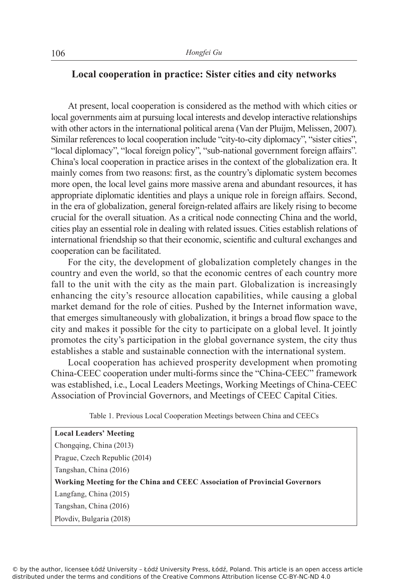# **Local cooperation in practice: Sister cities and city networks**

At present, local cooperation is considered as the method with which cities or local governments aim at pursuing local interests and develop interactive relationships with other actors in the international political arena (Van der Pluijm, Melissen, 2007). Similar references to local cooperation include "city-to-city diplomacy", "sister cities", "local diplomacy", "local foreign policy", "sub-national government foreign affairs". China's local cooperation in practice arises in the context of the globalization era. It mainly comes from two reasons: first, as the country's diplomatic system becomes more open, the local level gains more massive arena and abundant resources, it has appropriate diplomatic identities and plays a unique role in foreign affairs. Second, in the era of globalization, general foreign-related affairs are likely rising to become crucial for the overall situation. As a critical node connecting China and the world, cities play an essential role in dealing with related issues. Cities establish relations of international friendship so that their economic, scientific and cultural exchanges and cooperation can be facilitated.

For the city, the development of globalization completely changes in the country and even the world, so that the economic centres of each country more fall to the unit with the city as the main part. Globalization is increasingly enhancing the city's resource allocation capabilities, while causing a global market demand for the role of cities. Pushed by the Internet information wave, that emerges simultaneously with globalization, it brings a broad flow space to the city and makes it possible for the city to participate on a global level. It jointly promotes the city's participation in the global governance system, the city thus establishes a stable and sustainable connection with the international system.

Local cooperation has achieved prosperity development when promoting China-CEEC cooperation under multi-forms since the "China-CEEC" framework was established, i.e., Local Leaders Meetings, Working Meetings of China-CEEC Association of Provincial Governors, and Meetings of CEEC Capital Cities.

| Table 1. Previous Local Cooperation Meetings between China and CEECs |  |  |  |  |
|----------------------------------------------------------------------|--|--|--|--|
|----------------------------------------------------------------------|--|--|--|--|

| <b>Local Leaders' Meeting</b>                                              |
|----------------------------------------------------------------------------|
| Chongqing, China (2013)                                                    |
| Prague, Czech Republic (2014)                                              |
| Tangshan, China (2016)                                                     |
| Working Meeting for the China and CEEC Association of Provincial Governors |
|                                                                            |
| Langfang, China (2015)                                                     |
| Tangshan, China (2016)                                                     |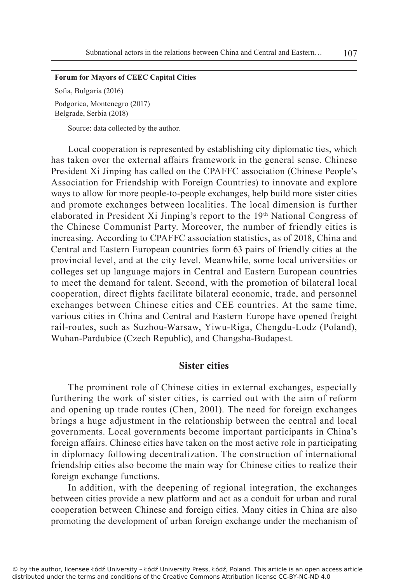#### **Forum for Mayors of CEEC Capital Cities**

Sofia, Bulgaria (2016)

Podgorica, Montenegro (2017) Belgrade, Serbia (2018)

Source: data collected by the author.

Local cooperation is represented by establishing city diplomatic ties, which has taken over the external affairs framework in the general sense. Chinese President Xi Jinping has called on the CPAFFC association (Chinese People's Association for Friendship with Foreign Countries) to innovate and explore ways to allow for more people-to-people exchanges, help build more sister cities and promote exchanges between localities. The local dimension is further elaborated in President Xi Jinping's report to the 19<sup>th</sup> National Congress of the Chinese Communist Party. Moreover, the number of friendly cities is increasing. According to CPAFFC association statistics, as of 2018, China and Central and Eastern European countries form 63 pairs of friendly cities at the provincial level, and at the city level. Meanwhile, some local universities or colleges set up language majors in Central and Eastern European countries to meet the demand for talent. Second, with the promotion of bilateral local cooperation, direct flights facilitate bilateral economic, trade, and personnel exchanges between Chinese cities and CEE countries. At the same time, various cities in China and Central and Eastern Europe have opened freight rail-routes, such as Suzhou-Warsaw, Yiwu-Riga, Chengdu-Lodz (Poland), Wuhan-Pardubice (Czech Republic), and Changsha-Budapest.

#### **Sister cities**

The prominent role of Chinese cities in external exchanges, especially furthering the work of sister cities, is carried out with the aim of reform and opening up trade routes (Chen, 2001). The need for foreign exchanges brings a huge adjustment in the relationship between the central and local governments. Local governments become important participants in China's foreign affairs. Chinese cities have taken on the most active role in participating in diplomacy following decentralization. The construction of international friendship cities also become the main way for Chinese cities to realize their foreign exchange functions.

In addition, with the deepening of regional integration, the exchanges between cities provide a new platform and act as a conduit for urban and rural cooperation between Chinese and foreign cities. Many cities in China are also promoting the development of urban foreign exchange under the mechanism of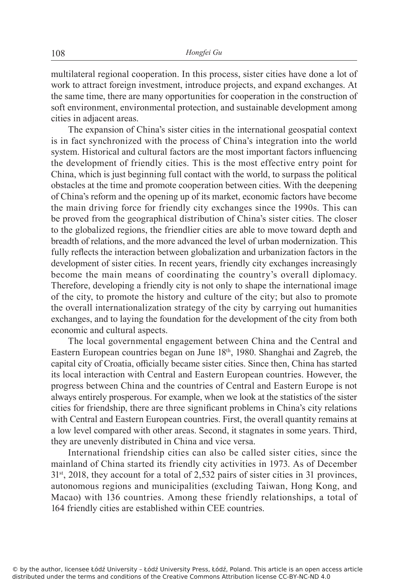multilateral regional cooperation. In this process, sister cities have done a lot of work to attract foreign investment, introduce projects, and expand exchanges. At the same time, there are many opportunities for cooperation in the construction of soft environment, environmental protection, and sustainable development among cities in adjacent areas.

The expansion of China's sister cities in the international geospatial context is in fact synchronized with the process of China's integration into the world system. Historical and cultural factors are the most important factors influencing the development of friendly cities. This is the most effective entry point for China, which is just beginning full contact with the world, to surpass the political obstacles at the time and promote cooperation between cities. With the deepening of China's reform and the opening up of its market, economic factors have become the main driving force for friendly city exchanges since the 1990s. This can be proved from the geographical distribution of China's sister cities. The closer to the globalized regions, the friendlier cities are able to move toward depth and breadth of relations, and the more advanced the level of urban modernization. This fully reflects the interaction between globalization and urbanization factors in the development of sister cities. In recent years, friendly city exchanges increasingly become the main means of coordinating the country's overall diplomacy. Therefore, developing a friendly city is not only to shape the international image of the city, to promote the history and culture of the city; but also to promote the overall internationalization strategy of the city by carrying out humanities exchanges, and to laying the foundation for the development of the city from both economic and cultural aspects.

The local governmental engagement between China and the Central and Eastern European countries began on June 18th, 1980. Shanghai and Zagreb, the capital city of Croatia, officially became sister cities. Since then, China has started its local interaction with Central and Eastern European countries. However, the progress between China and the countries of Central and Eastern Europe is not always entirely prosperous. For example, when we look at the statistics of the sister cities for friendship, there are three significant problems in China's city relations with Central and Eastern European countries. First, the overall quantity remains at a low level compared with other areas. Second, it stagnates in some years. Third, they are unevenly distributed in China and vice versa.

International friendship cities can also be called sister cities, since the mainland of China started its friendly city activities in 1973. As of December  $31<sup>st</sup>$ , 2018, they account for a total of 2,532 pairs of sister cities in 31 provinces, autonomous regions and municipalities (excluding Taiwan, Hong Kong, and Macao) with 136 countries. Among these friendly relationships, a total of 164 friendly cities are established within CEE countries.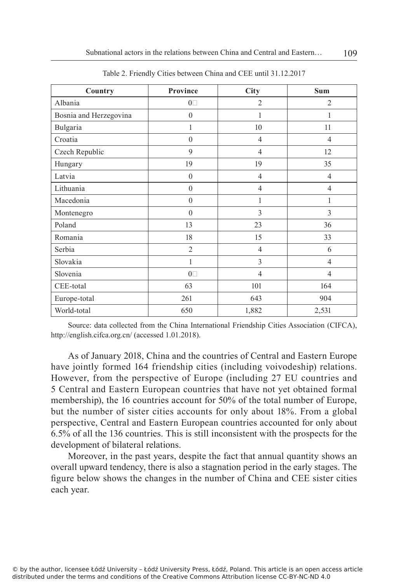| Country                | Province         | City           | <b>Sum</b>     |
|------------------------|------------------|----------------|----------------|
| Albania                | $0\square$       | $\overline{2}$ | $\overline{2}$ |
| Bosnia and Herzegovina | $\boldsymbol{0}$ | 1              | 1              |
| Bulgaria               | $\mathbf{1}$     | 10             | 11             |
| Croatia                | $\boldsymbol{0}$ | $\overline{4}$ | $\overline{4}$ |
| Czech Republic         | 9                | $\overline{4}$ | 12             |
| Hungary                | 19               | 19             | 35             |
| Latvia                 | $\mathbf{0}$     | $\overline{4}$ | $\overline{4}$ |
| Lithuania              | $\boldsymbol{0}$ | $\overline{4}$ | $\overline{4}$ |
| Macedonia              | $\boldsymbol{0}$ | 1              | 1              |
| Montenegro             | $\mathbf{0}$     | 3              | 3              |
| Poland                 | 13               | 23             | 36             |
| Romania                | 18               | 15             | 33             |
| Serbia                 | $\overline{2}$   | $\overline{4}$ | 6              |
| Slovakia               | 1                | 3              | 4              |
| Slovenia               | $0\square$       | $\overline{4}$ | 4              |
| CEE-total              | 63               | 101            | 164            |
| Europe-total           | 261              | 643            | 904            |
| World-total            | 650              | 1,882          | 2,531          |

Table 2. Friendly Cities between China and CEE until 31.12.2017

Source: data collected from the China International Friendship Cities Association (CIFCA), http://english.cifca.org.cn/ (accessed 1.01.2018).

As of January 2018, China and the countries of Central and Eastern Europe have jointly formed 164 friendship cities (including voivodeship) relations. However, from the perspective of Europe (including 27 EU countries and 5 Central and Eastern European countries that have not yet obtained formal membership), the 16 countries account for 50% of the total number of Europe, but the number of sister cities accounts for only about 18%. From a global perspective, Central and Eastern European countries accounted for only about 6.5% of all the 136 countries. This is still inconsistent with the prospects for the development of bilateral relations.

Moreover, in the past years, despite the fact that annual quantity shows an overall upward tendency, there is also a stagnation period in the early stages. The figure below shows the changes in the number of China and CEE sister cities each year.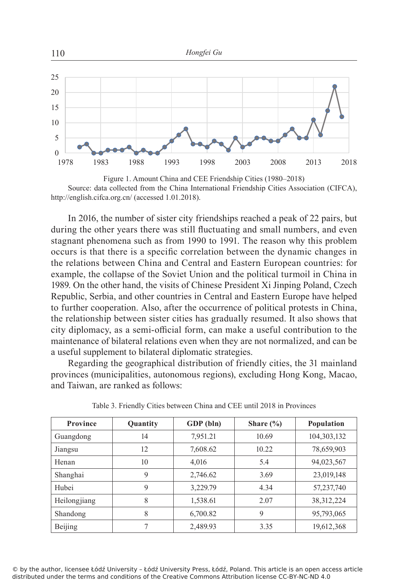

Figure 1. Amount China and CEE Friendship Cities (1980–2018) Source: data collected from the China International Friendship Cities Association (CIFCA), http://english.cifca.org.cn/ (accessed 1.01.2018).

In 2016, the number of sister city friendships reached a peak of 22 pairs, but during the other years there was still fluctuating and small numbers, and even stagnant phenomena such as from 1990 to 1991. The reason why this problem occurs is that there is a specific correlation between the dynamic changes in the relations between China and Central and Eastern European countries: for example, the collapse of the Soviet Union and the political turmoil in China in 1989. On the other hand, the visits of Chinese President Xi Jinping Poland, Czech Republic, Serbia, and other countries in Central and Eastern Europe have helped to further cooperation. Also, after the occurrence of political protests in China, the relationship between sister cities has gradually resumed. It also shows that city diplomacy, as a semi-official form, can make a useful contribution to the maintenance of bilateral relations even when they are not normalized, and can be a useful supplement to bilateral diplomatic strategies.

Regarding the geographical distribution of friendly cities, the 31 mainland provinces (municipalities, autonomous regions), excluding Hong Kong, Macao, and Taiwan, are ranked as follows:

| <b>Province</b> | Quantity | GDP (bln) | Share $\frac{6}{6}$ | <b>Population</b> |
|-----------------|----------|-----------|---------------------|-------------------|
| Guangdong       | 14       | 7,951.21  | 10.69               | 104,303,132       |
| Jiangsu         | 12       | 7,608.62  | 10.22               | 78,659,903        |
| Henan           | 10       | 4,016     | 5.4                 | 94,023,567        |
| Shanghai        | 9        | 2,746.62  | 3.69                | 23,019,148        |
| Hubei           | 9        | 3.229.79  | 4.34                | 57,237,740        |
| Heilongjiang    | 8        | 1,538.61  | 2.07                | 38, 312, 224      |
| Shandong        | 8        | 6,700.82  | 9                   | 95,793,065        |
| Beijing         |          | 2,489.93  | 3.35                | 19,612,368        |

Table 3. Friendly Cities between China and CEE until 2018 in Provinces

© by the author, licensee Łódź University – Łódź University Press, Łódź, Poland. This article is an open access article distributed under the terms and conditions of the Creative Commons Attribution license CC-BY-NC-ND 4.0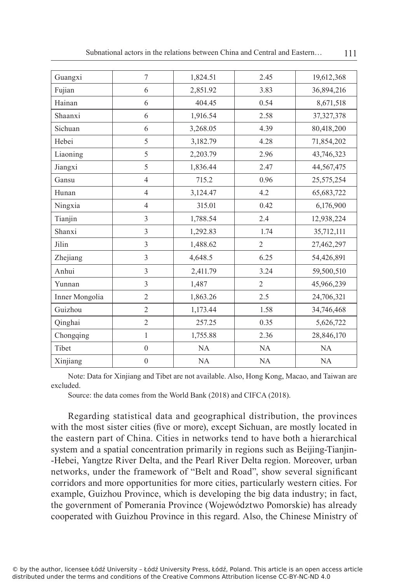| Guangxi        | $\overline{7}$   | 1,824.51 | 2.45           | 19,612,368   |
|----------------|------------------|----------|----------------|--------------|
| Fujian         | 6                | 2,851.92 | 3.83           | 36,894,216   |
| Hainan         | 6                | 404.45   | 0.54           | 8,671,518    |
| Shaanxi        | 6                | 1,916.54 | 2.58           | 37, 327, 378 |
| Sichuan        | 6                | 3,268.05 | 4.39           | 80,418,200   |
| Hebei          | 5                | 3,182.79 | 4.28           | 71,854,202   |
| Liaoning       | 5                | 2,203.79 | 2.96           | 43,746,323   |
| Jiangxi        | 5                | 1,836.44 | 2.47           | 44,567,475   |
| Gansu          | $\overline{4}$   | 715.2    | 0.96           | 25,575,254   |
| Hunan          | $\overline{4}$   | 3,124.47 | 4.2            | 65, 683, 722 |
| Ningxia        | $\overline{4}$   | 315.01   | 0.42           | 6,176,900    |
| Tianjin        | 3                | 1,788.54 | 2.4            | 12,938,224   |
| Shanxi         | 3                | 1,292.83 | 1.74           | 35,712,111   |
| Jilin          | 3                | 1,488.62 | $\overline{2}$ | 27,462,297   |
| Zhejiang       | 3                | 4,648.5  | 6.25           | 54,426,891   |
| Anhui          | 3                | 2,411.79 | 3.24           | 59,500,510   |
| Yunnan         | 3                | 1,487    | $\overline{2}$ | 45,966,239   |
| Inner Mongolia | $\overline{2}$   | 1,863.26 | 2.5            | 24,706,321   |
| Guizhou        | $\overline{2}$   | 1,173.44 | 1.58           | 34,746,468   |
| Qinghai        | $\overline{2}$   | 257.25   | 0.35           | 5,626,722    |
| Chongqing      | $\mathbf{1}$     | 1,755.88 | 2.36           | 28,846,170   |
| Tibet          | $\mathbf{0}$     | NA       | <b>NA</b>      | NA           |
| Xinjiang       | $\boldsymbol{0}$ | NA       | NA             | NA           |
|                |                  |          |                |              |

Subnational actors in the relations between China and Central and Eastern... 111

Note: Data for Xinjiang and Tibet are not available. Also, Hong Kong, Macao, and Taiwan are excluded.

Source: the data comes from the World Bank (2018) and CIFCA (2018).

Regarding statistical data and geographical distribution, the provinces with the most sister cities (five or more), except Sichuan, are mostly located in the eastern part of China. Cities in networks tend to have both a hierarchical system and a spatial concentration primarily in regions such as Beijing-Tianjin--Hebei, Yangtze River Delta, and the Pearl River Delta region. Moreover, urban networks, under the framework of "Belt and Road", show several significant corridors and more opportunities for more cities, particularly western cities. For example, Guizhou Province, which is developing the big data industry; in fact, the government of Pomerania Province (Województwo Pomorskie) has already cooperated with Guizhou Province in this regard. Also, the Chinese Ministry of

© by the author, licensee Łódź University – Łódź University Press, Łódź, Poland. This article is an open access article distributed under the terms and conditions of the Creative Commons Attribution license CC-BY-NC-ND 4.0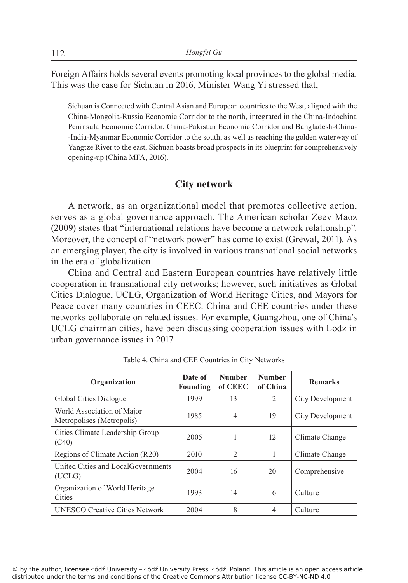Foreign Affairs holds several events promoting local provinces to the global media. This was the case for Sichuan in 2016, Minister Wang Yi stressed that,

Sichuan is Connected with Central Asian and European countries to the West, aligned with the China-Mongolia-Russia Economic Corridor to the north, integrated in the China-Indochina Peninsula Economic Corridor, China-Pakistan Economic Corridor and Bangladesh-China- -India-Myanmar Economic Corridor to the south, as well as reaching the golden waterway of Yangtze River to the east, Sichuan boasts broad prospects in its blueprint for comprehensively opening-up (China MFA, 2016).

#### **City network**

A network, as an organizational model that promotes collective action, serves as a global governance approach. The American scholar Zeev Maoz (2009) states that "international relations have become a network relationship". Moreover, the concept of "network power" has come to exist (Grewal, 2011). As an emerging player, the city is involved in various transnational social networks in the era of globalization.

China and Central and Eastern European countries have relatively little cooperation in transnational city networks; however, such initiatives as Global Cities Dialogue, UCLG, Organization of World Heritage Cities, and Mayors for Peace cover many countries in CEEC. China and CEE countries under these networks collaborate on related issues. For example, Guangzhou, one of China's UCLG chairman cities, have been discussing cooperation issues with Lodz in urban governance issues in 2017

| Organization                                            | Date of<br>Founding | <b>Number</b><br>of CEEC | <b>Number</b><br>of China | <b>Remarks</b>   |
|---------------------------------------------------------|---------------------|--------------------------|---------------------------|------------------|
| Global Cities Dialogue                                  | 1999                | 13                       | 2                         | City Development |
| World Association of Major<br>Metropolises (Metropolis) | 1985                | $\overline{4}$           | 19                        | City Development |
| Cities Climate Leadership Group<br>(C40)                | 2005                |                          | 12                        | Climate Change   |
| Regions of Climate Action (R20)                         | 2010                | $\overline{2}$           | 1                         | Climate Change   |
| United Cities and LocalGovernments<br>(UCLG)            | 2004                | 16                       | 20                        | Comprehensive    |
| Organization of World Heritage<br>Cities                | 1993                | 14                       | 6                         | Culture          |
| <b>UNESCO Creative Cities Network</b>                   | 2004                | 8                        | $\overline{4}$            | Culture          |

Table 4. China and CEE Countries in City Networks

© by the author, licensee Łódź University – Łódź University Press, Łódź, Poland. This article is an open access article distributed under the terms and conditions of the Creative Commons Attribution license CC-BY-NC-ND 4.0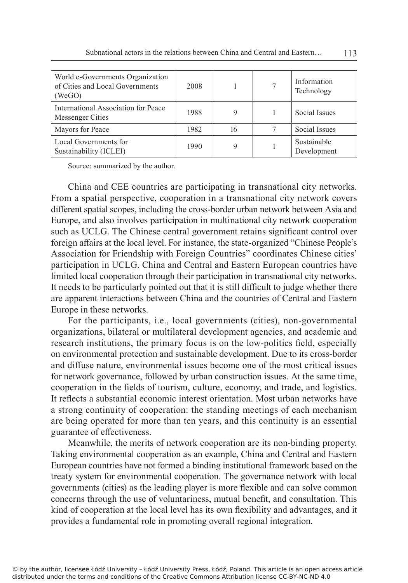| World e-Governments Organization<br>of Cities and Local Governments<br>(WeGO) | 2008 |    | 7 | Information<br>Technology  |
|-------------------------------------------------------------------------------|------|----|---|----------------------------|
| International Association for Peace<br>Messenger Cities                       | 1988 | 9  |   | Social Issues              |
| Mayors for Peace                                                              | 1982 | 16 |   | Social Issues              |
| Local Governments for<br>Sustainability (ICLEI)                               | 1990 | Q  |   | Sustainable<br>Development |

Source: summarized by the author.

China and CEE countries are participating in transnational city networks. From a spatial perspective, cooperation in a transnational city network covers different spatial scopes, including the cross-border urban network between Asia and Europe, and also involves participation in multinational city network cooperation such as UCLG. The Chinese central government retains significant control over foreign affairs at the local level. For instance, the state-organized "Chinese People's Association for Friendship with Foreign Countries" coordinates Chinese cities' participation in UCLG. China and Central and Eastern European countries have limited local cooperation through their participation in transnational city networks. It needs to be particularly pointed out that it is still difficult to judge whether there are apparent interactions between China and the countries of Central and Eastern Europe in these networks.

For the participants, i.e., local governments (cities), non-governmental organizations, bilateral or multilateral development agencies, and academic and research institutions, the primary focus is on the low-politics field, especially on environmental protection and sustainable development. Due to its cross-border and diffuse nature, environmental issues become one of the most critical issues for network governance, followed by urban construction issues. At the same time, cooperation in the fields of tourism, culture, economy, and trade, and logistics. It reflects a substantial economic interest orientation. Most urban networks have a strong continuity of cooperation: the standing meetings of each mechanism are being operated for more than ten years, and this continuity is an essential guarantee of effectiveness.

Meanwhile, the merits of network cooperation are its non-binding property. Taking environmental cooperation as an example, China and Central and Eastern European countries have not formed a binding institutional framework based on the treaty system for environmental cooperation. The governance network with local governments (cities) as the leading player is more flexible and can solve common concerns through the use of voluntariness, mutual benefit, and consultation. This kind of cooperation at the local level has its own flexibility and advantages, and it provides a fundamental role in promoting overall regional integration.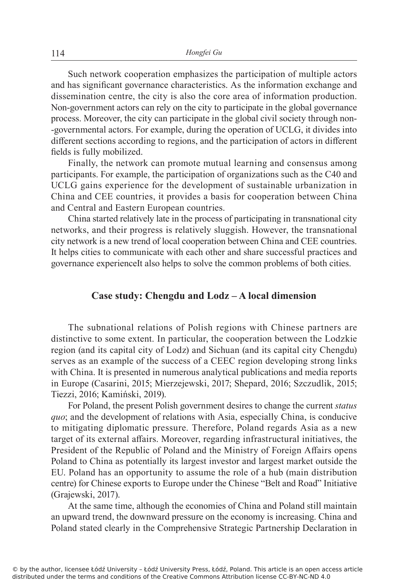Such network cooperation emphasizes the participation of multiple actors and has significant governance characteristics. As the information exchange and dissemination centre, the city is also the core area of information production. Non-government actors can rely on the city to participate in the global governance process. Moreover, the city can participate in the global civil society through non- -governmental actors. For example, during the operation of UCLG, it divides into different sections according to regions, and the participation of actors in different fields is fully mobilized.

Finally, the network can promote mutual learning and consensus among participants. For example, the participation of organizations such as the C40 and UCLG gains experience for the development of sustainable urbanization in China and CEE countries, it provides a basis for cooperation between China and Central and Eastern European countries.

China started relatively late in the process of participating in transnational city networks, and their progress is relatively sluggish. However, the transnational city network is a new trend of local cooperation between China and CEE countries. It helps cities to communicate with each other and share successful practices and governance experienceIt also helps to solve the common problems of both cities.

## **Case study: Chengdu and Lodz – A local dimension**

The subnational relations of Polish regions with Chinese partners are distinctive to some extent. In particular, the cooperation between the Lodzkie region (and its capital city of Lodz) and Sichuan (and its capital city Chengdu) serves as an example of the success of a CEEC region developing strong links with China. It is presented in numerous analytical publications and media reports in Europe (Casarini, 2015; Mierzejewski, 2017; Shepard, 2016; Szczudlik, 2015; Tiezzi, 2016; Kamiński, 2019).

For Poland, the present Polish government desires to change the current *status quo*; and the development of relations with Asia, especially China, is conducive to mitigating diplomatic pressure. Therefore, Poland regards Asia as a new target of its external affairs. Moreover, regarding infrastructural initiatives, the President of the Republic of Poland and the Ministry of Foreign Affairs opens Poland to China as potentially its largest investor and largest market outside the EU. Poland has an opportunity to assume the role of a hub (main distribution centre) for Chinese exports to Europe under the Chinese "Belt and Road" Initiative (Grajewski, 2017).

At the same time, although the economies of China and Poland still maintain an upward trend, the downward pressure on the economy is increasing. China and Poland stated clearly in the Comprehensive Strategic Partnership Declaration in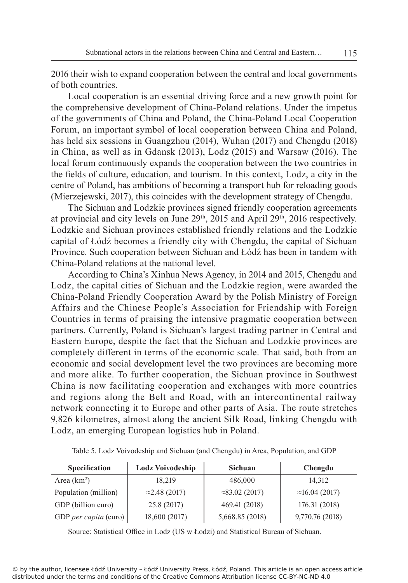2016 their wish to expand cooperation between the central and local governments of both countries.

Local cooperation is an essential driving force and a new growth point for the comprehensive development of China-Poland relations. Under the impetus of the governments of China and Poland, the China-Poland Local Cooperation Forum, an important symbol of local cooperation between China and Poland, has held six sessions in Guangzhou (2014), Wuhan (2017) and Chengdu (2018) in China, as well as in Gdansk (2013), Lodz (2015) and Warsaw (2016). The local forum continuously expands the cooperation between the two countries in the fields of culture, education, and tourism. In this context, Lodz, a city in the centre of Poland, has ambitions of becoming a transport hub for reloading goods (Mierzejewski, 2017), this coincides with the development strategy of Chengdu.

The Sichuan and Lodzkie provinces signed friendly cooperation agreements at provincial and city levels on June  $29<sup>th</sup>$ ,  $2015$  and April  $29<sup>th</sup>$ ,  $2016$  respectively. Lodzkie and Sichuan provinces established friendly relations and the Lodzkie capital of Łódź becomes a friendly city with Chengdu, the capital of Sichuan Province. Such cooperation between Sichuan and Łódź has been in tandem with China-Poland relations at the national level.

According to China's Xinhua News Agency, in 2014 and 2015, Chengdu and Lodz, the capital cities of Sichuan and the Lodzkie region, were awarded the China-Poland Friendly Cooperation Award by the Polish Ministry of Foreign Affairs and the Chinese People's Association for Friendship with Foreign Countries in terms of praising the intensive pragmatic cooperation between partners. Currently, Poland is Sichuan's largest trading partner in Central and Eastern Europe, despite the fact that the Sichuan and Lodzkie provinces are completely different in terms of the economic scale. That said, both from an economic and social development level the two provinces are becoming more and more alike. To further cooperation, the Sichuan province in Southwest China is now facilitating cooperation and exchanges with more countries and regions along the Belt and Road, with an intercontinental railway network connecting it to Europe and other parts of Asia. The route stretches 9,826 kilometres, almost along the ancient Silk Road, linking Chengdu with Lodz, an emerging European logistics hub in Poland.

| Specification         | <b>Lodz Voivodeship</b> | <b>Sichuan</b>         | Chengdu                |
|-----------------------|-------------------------|------------------------|------------------------|
| Area $(km^2)$         | 18,219                  | 486,000                | 14,312                 |
| Population (million)  | $\approx$ 2.48 (2017)   | $\approx$ 83.02 (2017) | $\approx$ 16.04 (2017) |
| GDP (billion euro)    | 25.8 (2017)             | 469.41 (2018)          | 176.31 (2018)          |
| GDP per capita (euro) | 18,600 (2017)           | 5,668.85 (2018)        | 9,770.76 (2018)        |

Table 5. Lodz Voivodeship and Sichuan (and Chengdu) in Area, Population, and GDP

Source: Statistical Office in Lodz (US w Łodzi) and Statistical Bureau of Sichuan.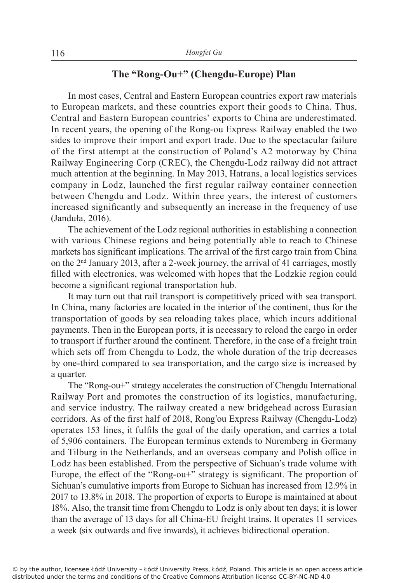# **The "Rong-Ou+" (Chengdu-Europe) Plan**

In most cases, Central and Eastern European countries export raw materials to European markets, and these countries export their goods to China. Thus, Central and Eastern European countries' exports to China are underestimated. In recent years, the opening of the Rong-ou Express Railway enabled the two sides to improve their import and export trade. Due to the spectacular failure of the first attempt at the construction of Poland's A2 motorway by China Railway Engineering Corp (CREC), the Chengdu-Lodz railway did not attract much attention at the beginning. In May 2013, Hatrans, a local logistics services company in Lodz, launched the first regular railway container connection between Chengdu and Lodz. Within three years, the interest of customers increased significantly and subsequently an increase in the frequency of use (Janduła, 2016).

The achievement of the Lodz regional authorities in establishing a connection with various Chinese regions and being potentially able to reach to Chinese markets has significant implications. The arrival of the first cargo train from China on the 2nd January 2013, after a 2-week journey, the arrival of 41 carriages, mostly filled with electronics, was welcomed with hopes that the Lodzkie region could become a significant regional transportation hub.

It may turn out that rail transport is competitively priced with sea transport. In China, many factories are located in the interior of the continent, thus for the transportation of goods by sea reloading takes place, which incurs additional payments. Then in the European ports, it is necessary to reload the cargo in order to transport if further around the continent. Therefore, in the case of a freight train which sets off from Chengdu to Lodz, the whole duration of the trip decreases by one-third compared to sea transportation, and the cargo size is increased by a quarter.

The "Rong-ou+" strategy accelerates the construction of Chengdu International Railway Port and promotes the construction of its logistics, manufacturing, and service industry. The railway created a new bridgehead across Eurasian corridors. As of the first half of 2018, Rong'ou Express Railway (Chengdu-Lodz) operates 153 lines, it fulfils the goal of the daily operation, and carries a total of 5,906 containers. The European terminus extends to Nuremberg in Germany and Tilburg in the Netherlands, and an overseas company and Polish office in Lodz has been established. From the perspective of Sichuan's trade volume with Europe, the effect of the "Rong-ou+" strategy is significant. The proportion of Sichuan's cumulative imports from Europe to Sichuan has increased from 12.9% in 2017 to 13.8% in 2018. The proportion of exports to Europe is maintained at about 18%. Also, the transit time from Chengdu to Lodz is only about ten days; it is lower than the average of 13 days for all China-EU freight trains. It operates 11 services a week (six outwards and five inwards), it achieves bidirectional operation.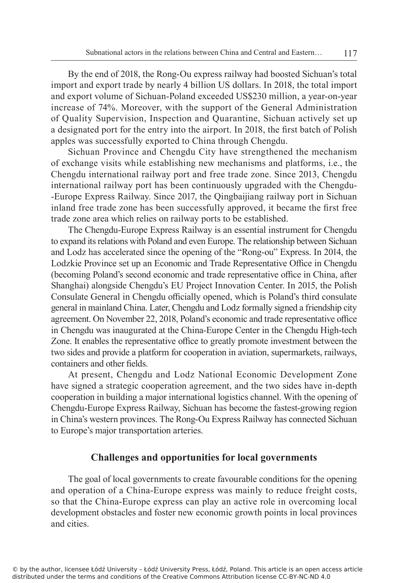By the end of 2018, the Rong-Ou express railway had boosted Sichuan's total import and export trade by nearly 4 billion US dollars. In 2018, the total import and export volume of Sichuan-Poland exceeded US\$230 million, a year-on-year increase of 74%. Moreover, with the support of the General Administration of Quality Supervision, Inspection and Quarantine, Sichuan actively set up a designated port for the entry into the airport. In 2018, the first batch of Polish apples was successfully exported to China through Chengdu.

Sichuan Province and Chengdu City have strengthened the mechanism of exchange visits while establishing new mechanisms and platforms, i.e., the Chengdu international railway port and free trade zone. Since 2013, Chengdu international railway port has been continuously upgraded with the Chengdu- -Europe Express Railway. Since 2017, the Qingbaijiang railway port in Sichuan inland free trade zone has been successfully approved, it became the first free trade zone area which relies on railway ports to be established.

The Chengdu-Europe Express Railway is an essential instrument for Chengdu to expand its relations with Poland and even Europe. The relationship between Sichuan and Lodz has accelerated since the opening of the "Rong-ou" Express. In 2014, the Lodzkie Province set up an Economic and Trade Representative Office in Chengdu (becoming Poland's second economic and trade representative office in China, after Shanghai) alongside Chengdu's EU Project Innovation Center. In 2015, the Polish Consulate General in Chengdu officially opened, which is Poland's third consulate general in mainland China. Later, Chengdu and Lodz formally signed a friendship city agreement. On November 22, 2018, Poland's economic and trade representative office in Chengdu was inaugurated at the China-Europe Center in the Chengdu High-tech Zone. It enables the representative office to greatly promote investment between the two sides and provide a platform for cooperation in aviation, supermarkets, railways, containers and other fields.

At present, Chengdu and Lodz National Economic Development Zone have signed a strategic cooperation agreement, and the two sides have in-depth cooperation in building a major international logistics channel. With the opening of Chengdu-Europe Express Railway, Sichuan has become the fastest-growing region in China's western provinces. The Rong-Ou Express Railway has connected Sichuan to Europe's major transportation arteries.

### **Challenges and opportunities for local governments**

The goal of local governments to create favourable conditions for the opening and operation of a China-Europe express was mainly to reduce freight costs, so that the China-Europe express can play an active role in overcoming local development obstacles and foster new economic growth points in local provinces and cities.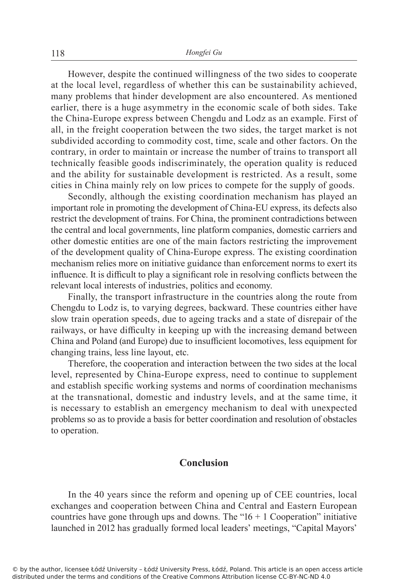However, despite the continued willingness of the two sides to cooperate at the local level, regardless of whether this can be sustainability achieved, many problems that hinder development are also encountered. As mentioned earlier, there is a huge asymmetry in the economic scale of both sides. Take the China-Europe express between Chengdu and Lodz as an example. First of all, in the freight cooperation between the two sides, the target market is not subdivided according to commodity cost, time, scale and other factors. On the contrary, in order to maintain or increase the number of trains to transport all technically feasible goods indiscriminately, the operation quality is reduced and the ability for sustainable development is restricted. As a result, some cities in China mainly rely on low prices to compete for the supply of goods.

Secondly, although the existing coordination mechanism has played an important role in promoting the development of China-EU express, its defects also restrict the development of trains. For China, the prominent contradictions between the central and local governments, line platform companies, domestic carriers and other domestic entities are one of the main factors restricting the improvement of the development quality of China-Europe express. The existing coordination mechanism relies more on initiative guidance than enforcement norms to exert its influence. It is difficult to play a significant role in resolving conflicts between the relevant local interests of industries, politics and economy.

Finally, the transport infrastructure in the countries along the route from Chengdu to Lodz is, to varying degrees, backward. These countries either have slow train operation speeds, due to ageing tracks and a state of disrepair of the railways, or have difficulty in keeping up with the increasing demand between China and Poland (and Europe) due to insufficient locomotives, less equipment for changing trains, less line layout, etc.

Therefore, the cooperation and interaction between the two sides at the local level, represented by China-Europe express, need to continue to supplement and establish specific working systems and norms of coordination mechanisms at the transnational, domestic and industry levels, and at the same time, it is necessary to establish an emergency mechanism to deal with unexpected problems so as to provide a basis for better coordination and resolution of obstacles to operation.

# **Conclusion**

In the 40 years since the reform and opening up of CEE countries, local exchanges and cooperation between China and Central and Eastern European countries have gone through ups and downs. The " $16 + 1$  Cooperation" initiative launched in 2012 has gradually formed local leaders' meetings, "Capital Mayors'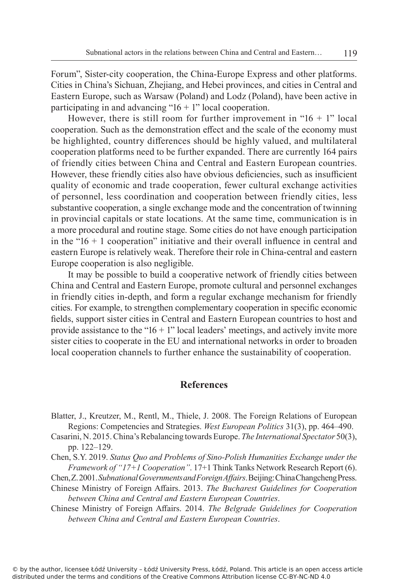Forum", Sister-city cooperation, the China-Europe Express and other platforms. Cities in China's Sichuan, Zhejiang, and Hebei provinces, and cities in Central and Eastern Europe, such as Warsaw (Poland) and Lodz (Poland), have been active in participating in and advancing " $16 + 1$ " local cooperation.

However, there is still room for further improvement in " $16 + 1$ " local cooperation. Such as the demonstration effect and the scale of the economy must be highlighted, country differences should be highly valued, and multilateral cooperation platforms need to be further expanded. There are currently 164 pairs of friendly cities between China and Central and Eastern European countries. However, these friendly cities also have obvious deficiencies, such as insufficient quality of economic and trade cooperation, fewer cultural exchange activities of personnel, less coordination and cooperation between friendly cities, less substantive cooperation, a single exchange mode and the concentration of twinning in provincial capitals or state locations. At the same time, communication is in a more procedural and routine stage. Some cities do not have enough participation in the " $16 + 1$  cooperation" initiative and their overall influence in central and eastern Europe is relatively weak. Therefore their role in China-central and eastern Europe cooperation is also negligible.

It may be possible to build a cooperative network of friendly cities between China and Central and Eastern Europe, promote cultural and personnel exchanges in friendly cities in-depth, and form a regular exchange mechanism for friendly cities. For example, to strengthen complementary cooperation in specific economic fields, support sister cities in Central and Eastern European countries to host and provide assistance to the " $16 + 1$ " local leaders' meetings, and actively invite more sister cities to cooperate in the EU and international networks in order to broaden local cooperation channels to further enhance the sustainability of cooperation.

## **References**

- Blatter, J., Kreutzer, M., Rentl, M., Thiele, J. 2008. The Foreign Relations of European Regions: Competencies and Strategies. *West European Politics* 31(3), pp. 464–490.
- Casarini, N. 2015. China's Rebalancing towards Europe. *The International Spectator* 50(3), pp. 122–129.
- Chen, S.Y. 2019. *Status Quo and Problems of Sino-Polish Humanities Exchange under the Framework of "17+1 Cooperation"*. 17+1 Think Tanks Network Research Report (6).
- Chen, Z. 2001. *Subnational Governments and Foreign Affairs*. Beijing: China Changcheng Press.
- Chinese Ministry of Foreign Affairs. 2013. *The Bucharest Guidelines for Cooperation between China and Central and Eastern European Countries*.

Chinese Ministry of Foreign Affairs. 2014. *The Belgrade Guidelines for Cooperation between China and Central and Eastern European Countries*.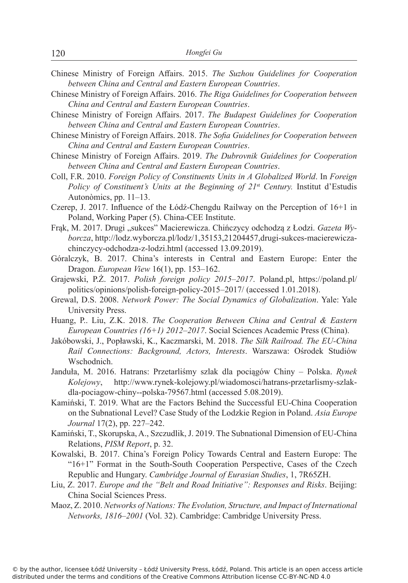- Chinese Ministry of Foreign Affairs. 2015. *The Suzhou Guidelines for Cooperation between China and Central and Eastern European Countries*.
- Chinese Ministry of Foreign Affairs. 2016. *The Riga Guidelines for Cooperation between China and Central and Eastern European Countries*.
- Chinese Ministry of Foreign Affairs. 2017. *The Budapest Guidelines for Cooperation between China and Central and Eastern European Countries*.
- Chinese Ministry of Foreign Affairs. 2018. *The Sofia Guidelines for Cooperation between China and Central and Eastern European Countries*.
- Chinese Ministry of Foreign Affairs. 2019. *The Dubrovnik Guidelines for Cooperation between China and Central and Eastern European Countries*.
- Coll, F.R. 2010. *Foreign Policy of Constituents Units in A Globalized World*. In *Foreign Policy of Constituent's Units at the Beginning of 21<sup>st</sup> Century. Institut d'Estudis* Autonòmics, pp. 11–13.
- Czerep, J. 2017. Influence of the Łódź-Chengdu Railway on the Perception of 16+1 in Poland, Working Paper (5). China-CEE Institute.
- Frak, M. 2017. Drugi "sukces" Macierewicza. Chińczycy odchodzą z Łodzi. *Gazeta Wyborcza*, http://lodz.wyborcza.pl/lodz/1,35153,21204457,drugi-sukces-macierewiczachinczycy-odchodza-z-lodzi.html (accessed 13.09.2019).
- Góralczyk, B. 2017. China's interests in Central and Eastern Europe: Enter the Dragon. *European View* 16(1), pp. 153–162.
- Grajewski, P.Ż. 2017. *Polish foreign policy 2015–2017*. Poland.pl, https://poland.pl/ politics/opinions/polish-foreign-policy-2015–2017/ (accessed 1.01.2018).
- Grewal, D.S. 2008. *Network Power: The Social Dynamics of Globalization*. Yale: Yale University Press.
- Huang, P.. Liu, Z.K. 2018. *The Cooperation Between China and Central & Eastern European Countries (16+1) 2012–2017*. Social Sciences Academic Press (China).
- Jakóbowski, J., Popławski, K., Kaczmarski, M. 2018. *The Silk Railroad. The EU-China Rail Connections: Background, Actors, Interests*. Warszawa: Ośrodek Studiów Wschodnich.
- Janduła, M. 2016. Hatrans: Przetarliśmy szlak dla pociągów Chiny Polska. *Rynek Kolejowy*, http://www.rynek-kolejowy.pl/wiadomosci/hatrans-przetarlismy-szlakdla-pociagow-chiny--polska-79567.html (accessed 5.08.2019).
- Kamiński, T. 2019. What are the Factors Behind the Successful EU-China Cooperation on the Subnational Level? Case Study of the Lodzkie Region in Poland. *Asia Europe Journal* 17(2), pp. 227–242.
- Kamiński, T., Skorupska, A., Szczudlik, J. 2019. The Subnational Dimension of EU-China Relations, *PISM Report*, p. 32.
- Kowalski, B. 2017. China's Foreign Policy Towards Central and Eastern Europe: The "16+1" Format in the South-South Cooperation Perspective, Cases of the Czech Republic and Hungary. *Cambridge Journal of Eurasian Studies*, 1, 7R65ZH.
- Liu, Z. 2017. *Europe and the "Belt and Road Initiative": Responses and Risks*. Beijing: China Social Sciences Press.
- Maoz, Z. 2010. *Networks of Nations: The Evolution, Structure, and Impact of International Networks, 1816–2001* (Vol. 32). Cambridge: Cambridge University Press.